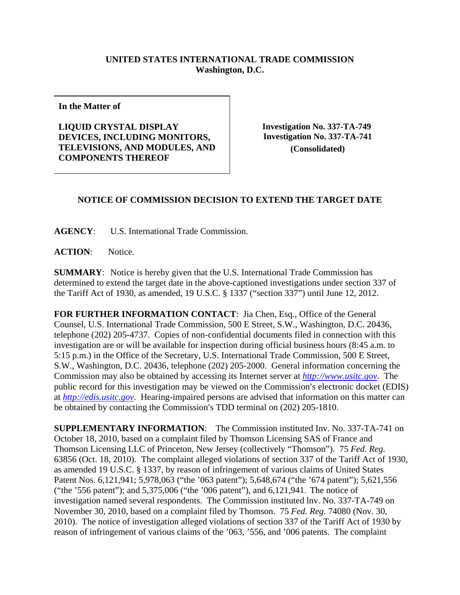## **UNITED STATES INTERNATIONAL TRADE COMMISSION Washington, D.C.**

**In the Matter of** 

**LIQUID CRYSTAL DISPLAY DEVICES, INCLUDING MONITORS, TELEVISIONS, AND MODULES, AND COMPONENTS THEREOF** 

 **Investigation No. 337-TA-749 Investigation No. 337-TA-741 (Consolidated)**

## **NOTICE OF COMMISSION DECISION TO EXTEND THE TARGET DATE**

**AGENCY**: U.S. International Trade Commission.

ACTION: Notice.

**SUMMARY**: Notice is hereby given that the U.S. International Trade Commission has determined to extend the target date in the above-captioned investigations under section 337 of the Tariff Act of 1930, as amended, 19 U.S.C. § 1337 ("section 337") until June 12, 2012.

**FOR FURTHER INFORMATION CONTACT**: Jia Chen, Esq., Office of the General Counsel, U.S. International Trade Commission, 500 E Street, S.W., Washington, D.C. 20436, telephone (202) 205-4737. Copies of non-confidential documents filed in connection with this investigation are or will be available for inspection during official business hours (8:45 a.m. to 5:15 p.m.) in the Office of the Secretary, U.S. International Trade Commission, 500 E Street, S.W., Washington, D.C. 20436, telephone (202) 205-2000. General information concerning the Commission may also be obtained by accessing its Internet server at *http://www.usitc.gov*. The public record for this investigation may be viewed on the Commission's electronic docket (EDIS) at *http://edis.usitc.gov*. Hearing-impaired persons are advised that information on this matter can be obtained by contacting the Commission's TDD terminal on (202) 205-1810.

**SUPPLEMENTARY INFORMATION**: The Commission instituted Inv. No. 337-TA-741 on October 18, 2010, based on a complaint filed by Thomson Licensing SAS of France and Thomson Licensing LLC of Princeton, New Jersey (collectively "Thomson"). 75 *Fed. Reg.*  63856 (Oct. 18, 2010). The complaint alleged violations of section 337 of the Tariff Act of 1930, as amended 19 U.S.C. § 1337, by reason of infringement of various claims of United States Patent Nos. 6,121,941; 5,978,063 ("the '063 patent"); 5,648,674 ("the '674 patent"); 5,621,556 ("the '556 patent"); and 5,375,006 ("the '006 patent"), and 6,121,941. The notice of investigation named several respondents. The Commission instituted lnv. No. 337-TA-749 on November 30, 2010, based on a complaint filed by Thomson. 75 *Fed. Reg.* 74080 (Nov. 30, 2010). The notice of investigation alleged violations of section 337 of the Tariff Act of 1930 by reason of infringement of various claims of the '063, '556, and '006 patents. The complaint